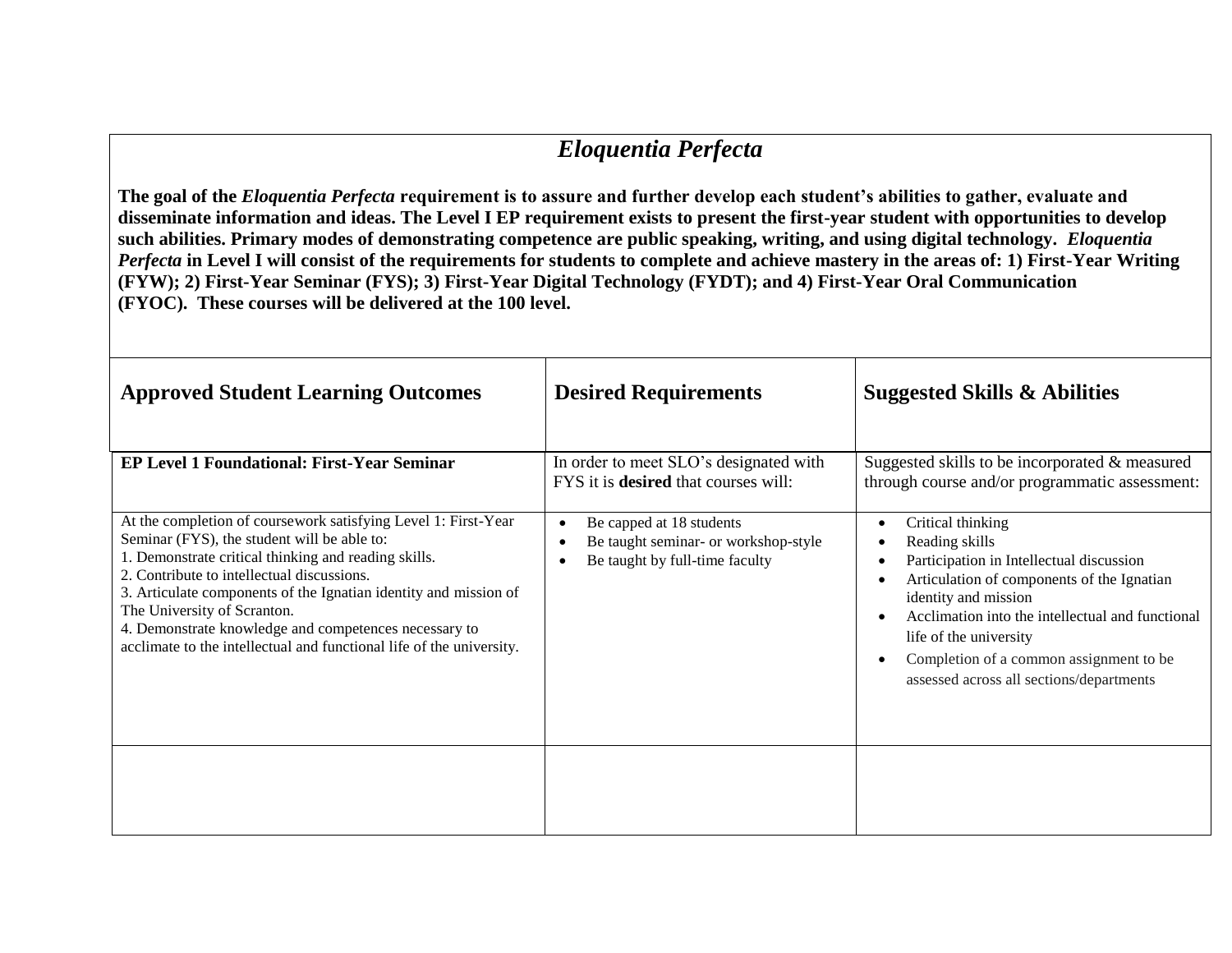## *Eloquentia Perfecta*

**The goal of the** *Eloquentia Perfecta* **requirement is to assure and further develop each student's abilities to gather, evaluate and disseminate information and ideas. The Level I EP requirement exists to present the first-year student with opportunities to develop such abilities. Primary modes of demonstrating competence are public speaking, writing, and using digital technology.** *Eloquentia Perfecta* **in Level I will consist of the requirements for students to complete and achieve mastery in the areas of: 1) First-Year Writing (FYW); 2) First-Year Seminar (FYS); 3) First-Year Digital Technology (FYDT); and 4) First-Year Oral Communication (FYOC). These courses will be delivered at the 100 level.** 

| <b>Approved Student Learning Outcomes</b>                                                                                                                                                                                                                                                                                                                                                                                                               | <b>Desired Requirements</b>                                                                        | <b>Suggested Skills &amp; Abilities</b>                                                                                                                                                                                                                                                                                                                           |
|---------------------------------------------------------------------------------------------------------------------------------------------------------------------------------------------------------------------------------------------------------------------------------------------------------------------------------------------------------------------------------------------------------------------------------------------------------|----------------------------------------------------------------------------------------------------|-------------------------------------------------------------------------------------------------------------------------------------------------------------------------------------------------------------------------------------------------------------------------------------------------------------------------------------------------------------------|
| <b>EP Level 1 Foundational: First-Year Seminar</b>                                                                                                                                                                                                                                                                                                                                                                                                      | In order to meet SLO's designated with<br>FYS it is <b>desired</b> that courses will:              | Suggested skills to be incorporated $\&$ measured<br>through course and/or programmatic assessment:                                                                                                                                                                                                                                                               |
| At the completion of coursework satisfying Level 1: First-Year<br>Seminar (FYS), the student will be able to:<br>1. Demonstrate critical thinking and reading skills.<br>2. Contribute to intellectual discussions.<br>3. Articulate components of the Ignatian identity and mission of<br>The University of Scranton.<br>4. Demonstrate knowledge and competences necessary to<br>acclimate to the intellectual and functional life of the university. | Be capped at 18 students<br>Be taught seminar- or workshop-style<br>Be taught by full-time faculty | Critical thinking<br>$\bullet$<br>Reading skills<br>Participation in Intellectual discussion<br>Articulation of components of the Ignatian<br>identity and mission<br>Acclimation into the intellectual and functional<br>$\bullet$<br>life of the university<br>Completion of a common assignment to be<br>$\bullet$<br>assessed across all sections/departments |
|                                                                                                                                                                                                                                                                                                                                                                                                                                                         |                                                                                                    |                                                                                                                                                                                                                                                                                                                                                                   |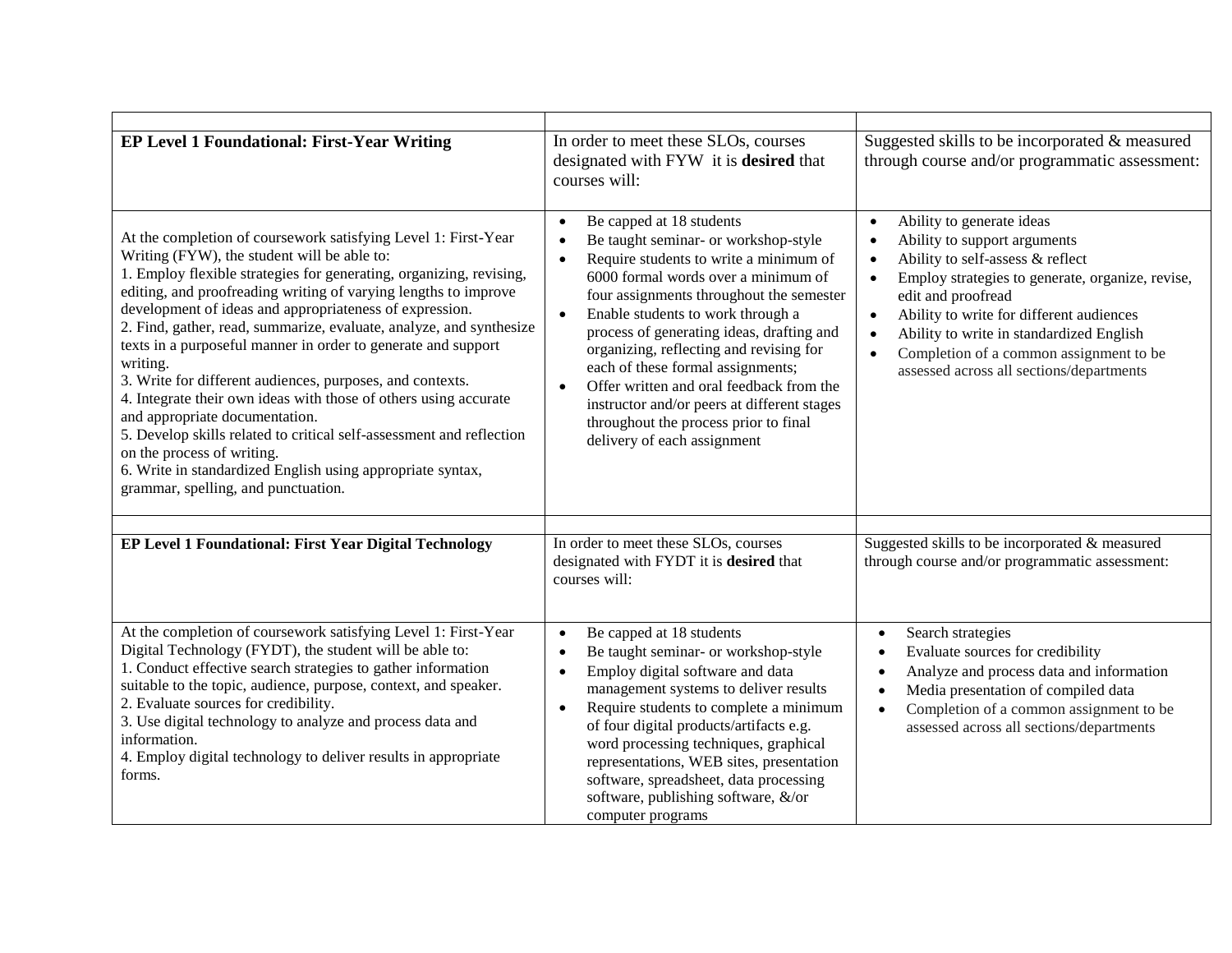| <b>EP Level 1 Foundational: First-Year Writing</b>                                                                                                                                                                                                                                                                                                                                                                                                                                                                                                                                                                                                                                                                                                                                                                                                   | In order to meet these SLOs, courses<br>designated with FYW it is desired that<br>courses will:                                                                                                                                                                                                                                                                                                                                                                                                                                                                                                     | Suggested skills to be incorporated & measured<br>through course and/or programmatic assessment:                                                                                                                                                                                                                                                                                                                        |
|------------------------------------------------------------------------------------------------------------------------------------------------------------------------------------------------------------------------------------------------------------------------------------------------------------------------------------------------------------------------------------------------------------------------------------------------------------------------------------------------------------------------------------------------------------------------------------------------------------------------------------------------------------------------------------------------------------------------------------------------------------------------------------------------------------------------------------------------------|-----------------------------------------------------------------------------------------------------------------------------------------------------------------------------------------------------------------------------------------------------------------------------------------------------------------------------------------------------------------------------------------------------------------------------------------------------------------------------------------------------------------------------------------------------------------------------------------------------|-------------------------------------------------------------------------------------------------------------------------------------------------------------------------------------------------------------------------------------------------------------------------------------------------------------------------------------------------------------------------------------------------------------------------|
| At the completion of coursework satisfying Level 1: First-Year<br>Writing (FYW), the student will be able to:<br>1. Employ flexible strategies for generating, organizing, revising,<br>editing, and proofreading writing of varying lengths to improve<br>development of ideas and appropriateness of expression.<br>2. Find, gather, read, summarize, evaluate, analyze, and synthesize<br>texts in a purposeful manner in order to generate and support<br>writing.<br>3. Write for different audiences, purposes, and contexts.<br>4. Integrate their own ideas with those of others using accurate<br>and appropriate documentation.<br>5. Develop skills related to critical self-assessment and reflection<br>on the process of writing.<br>6. Write in standardized English using appropriate syntax,<br>grammar, spelling, and punctuation. | Be capped at 18 students<br>$\bullet$<br>Be taught seminar- or workshop-style<br>$\bullet$<br>Require students to write a minimum of<br>$\bullet$<br>6000 formal words over a minimum of<br>four assignments throughout the semester<br>Enable students to work through a<br>$\bullet$<br>process of generating ideas, drafting and<br>organizing, reflecting and revising for<br>each of these formal assignments;<br>Offer written and oral feedback from the<br>$\bullet$<br>instructor and/or peers at different stages<br>throughout the process prior to final<br>delivery of each assignment | Ability to generate ideas<br>$\bullet$<br>Ability to support arguments<br>$\bullet$<br>Ability to self-assess & reflect<br>$\bullet$<br>Employ strategies to generate, organize, revise,<br>edit and proofread<br>Ability to write for different audiences<br>$\bullet$<br>Ability to write in standardized English<br>$\bullet$<br>Completion of a common assignment to be<br>assessed across all sections/departments |
| EP Level 1 Foundational: First Year Digital Technology                                                                                                                                                                                                                                                                                                                                                                                                                                                                                                                                                                                                                                                                                                                                                                                               | In order to meet these SLOs, courses<br>designated with FYDT it is desired that<br>courses will:                                                                                                                                                                                                                                                                                                                                                                                                                                                                                                    | Suggested skills to be incorporated & measured<br>through course and/or programmatic assessment:                                                                                                                                                                                                                                                                                                                        |
| At the completion of coursework satisfying Level 1: First-Year<br>Digital Technology (FYDT), the student will be able to:<br>1. Conduct effective search strategies to gather information<br>suitable to the topic, audience, purpose, context, and speaker.<br>2. Evaluate sources for credibility.<br>3. Use digital technology to analyze and process data and<br>information.<br>4. Employ digital technology to deliver results in appropriate<br>forms.                                                                                                                                                                                                                                                                                                                                                                                        | Be capped at 18 students<br>$\bullet$<br>Be taught seminar- or workshop-style<br>$\bullet$<br>Employ digital software and data<br>$\bullet$<br>management systems to deliver results<br>Require students to complete a minimum<br>$\bullet$<br>of four digital products/artifacts e.g.<br>word processing techniques, graphical<br>representations, WEB sites, presentation<br>software, spreadsheet, data processing<br>software, publishing software, &/or<br>computer programs                                                                                                                   | Search strategies<br>$\bullet$<br>Evaluate sources for credibility<br>Analyze and process data and information<br>$\bullet$<br>Media presentation of compiled data<br>$\bullet$<br>Completion of a common assignment to be<br>$\bullet$<br>assessed across all sections/departments                                                                                                                                     |